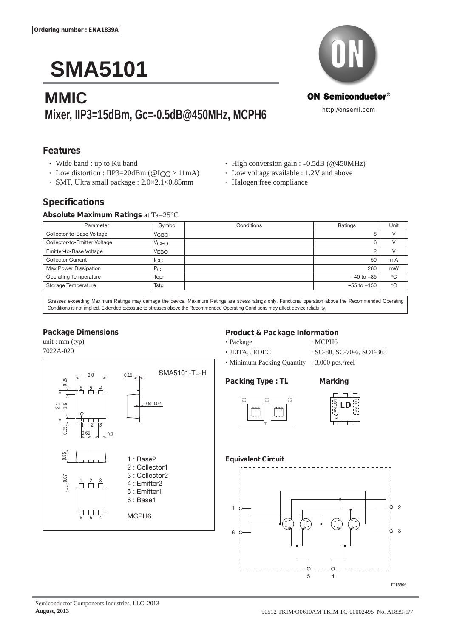# **SMA5101**

# **MMIC Mixer, IIP3=15dBm, Gc=-0.5dB@450MHz, MCPH6**



# **Features**

- 
- Low distortion : IIP3=20dBm ( $@$ ICC > 11mA) Low voltage available : 1.2V and above
- SMT, Ultra small package :  $2.0 \times 2.1 \times 0.85$ mm Halogen free compliance
- Wide band : up to Ku band High conversion gain : -0.5dB (@450MHz)
	- -

# **Specifi cations**

#### **Absolute Maximum Ratings** at Ta=25°C

| Parameter                    | Symbol      | Conditions | Ratings         | Unit          |
|------------------------------|-------------|------------|-----------------|---------------|
| Collector-to-Base Voltage    | <b>VCBO</b> |            | 8               | $\mathcal{U}$ |
| Collector-to-Emitter Voltage | <b>VCEO</b> |            | 6               |               |
| Emitter-to-Base Voltage      | <b>VEBO</b> |            |                 | $\mathcal{U}$ |
| <b>Collector Current</b>     | <b>ICC</b>  |            | 50              | mA            |
| Max Power Dissipation        | PC          |            | 280             | mW            |
| <b>Operating Temperature</b> | Topr        |            | $-40$ to $+85$  | $^{\circ}$ C  |
| Storage Temperature          | Tstg        |            | $-55$ to $+150$ | $^{\circ}$ C  |

Stresses exceeding Maximum Ratings may damage the device. Maximum Ratings are stress ratings only. Functional operation above the Recommended Operating Conditions is not implied. Extended exposure to stresses above the Recommended Operating Conditions may affect device reliability.

#### **Package Dimensions**

unit : mm (typ)



### **Product & Package Information**

• Package : MCPH6

• JEITA, JEDEC : SC-88, SC-70-6, SOT-363

• Minimum Packing Quantity : 3,000 pcs./reel

#### **Packing Type : TL Marking**





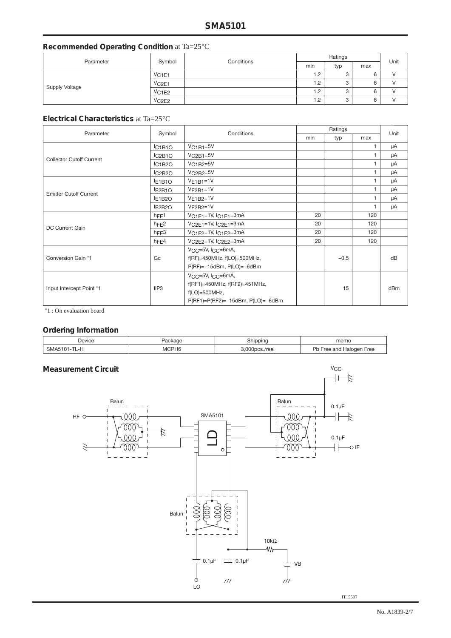# **Recommended Operating Condition** at Ta=25°C

| Parameter             | Symbol               | Conditions |     | Unit |     |  |
|-----------------------|----------------------|------------|-----|------|-----|--|
|                       |                      |            |     | typ  | max |  |
| <b>Supply Voltage</b> | VC1E1                |            | 1.2 | 3    | 6   |  |
|                       | VC2E1                |            | 1.2 | 3    | 6   |  |
|                       | $V$ C <sub>1E2</sub> |            | 1.2 | 3    | 6   |  |
|                       | VC2E2                |            | 1.2 | 3    | 6   |  |

#### **Electrical Characteristics** at Ta=25°C

| Parameter                       | Symbol                          | Conditions                         | Ratings |        |     | Unit |  |
|---------------------------------|---------------------------------|------------------------------------|---------|--------|-----|------|--|
|                                 |                                 |                                    | min     | typ    | max |      |  |
|                                 | IC <sub>1</sub> B <sub>10</sub> | $VC1B1=5V$                         |         |        | 1.  | μA   |  |
| <b>Collector Cutoff Current</b> | IC2B1O                          | $VC2B1=5V$                         |         |        | 1   | μA   |  |
|                                 | IC1B2O                          | $VC1B2=5V$                         |         |        | 1   | μA   |  |
|                                 | IC2B2O                          | $VC2B2=5V$                         |         |        | 1.  | μA   |  |
|                                 | E <sub>1</sub> B <sub>10</sub>  | $VE1B1=1V$                         |         |        | 1   | μA   |  |
| <b>Emitter Cutoff Current</b>   | E2B1O                           | $VE2B1=1V$                         |         |        | 1   | μA   |  |
|                                 | E <sub>1</sub> B <sub>2</sub> O | $VE1B2=1V$                         |         |        | 1   | μA   |  |
|                                 | E2B <sub>20</sub>               | $VE2B2=1V$                         |         |        | 1   | μA   |  |
|                                 | hFE1                            | VC1E1=1V, IC1E1=3mA                | 20      |        | 120 |      |  |
| <b>DC Current Gain</b>          | h <sub>FE2</sub>                | $VC2E1=1V$ , $C2E1=3mA$            | 20      |        | 120 |      |  |
|                                 | hFE3                            | $VCIE2=1V$ , $IC1E2=3mA$           | 20      |        | 120 |      |  |
|                                 | hFE4                            | VC2E2=1V, IC2E2=3mA                | 20      |        | 120 |      |  |
| Conversion Gain *1              |                                 | $VCC=5V$ , $ICC=6mA$ ,             |         |        |     |      |  |
|                                 | Gc                              | $f(RF)=450MHz, f(LO)=500MHz,$      |         | $-0.5$ |     | dB   |  |
|                                 |                                 | $P(RF) = -15dBm$ , $P(LO) = -6dBm$ |         |        |     |      |  |
| Input Intercept Point *1        |                                 | VCC=5V, ICC=6mA,                   |         |        |     |      |  |
|                                 |                                 | f(RF1)=450MHz, f(RF2)=451MHz,      |         |        |     |      |  |
|                                 | IIP3                            | $f(LO)=500MHz,$                    |         | 15     |     | dBm  |  |
|                                 |                                 | P(RF1)=P(RF2)=-15dBm, P(LO)=-6dBm  |         |        |     |      |  |

\*1 : On evaluation board

# **Ordering Information**

| --           |                   |          |                                |
|--------------|-------------------|----------|--------------------------------|
| Device       | ackage            | Shipping | memo                           |
| SMA5101-TL-H | MCPH <sub>6</sub> | cs./reel | Dh<br>Halogen Free<br>Free and |



IT15507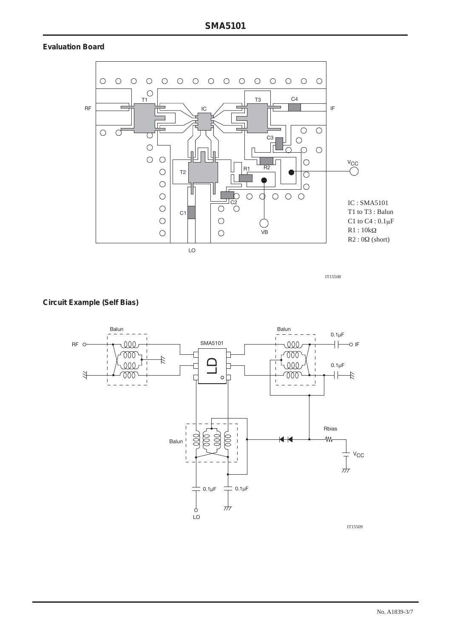# **Evaluation Board**



IT15508

#### **Circuit Example (Self Bias)**



IT15509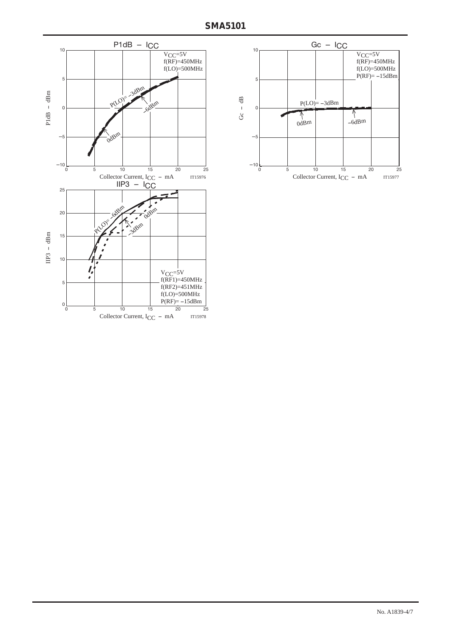

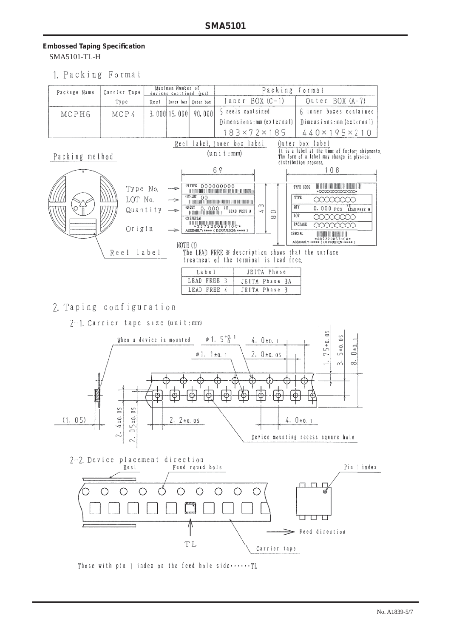# **Embossed Taping Specifi cation** SMA5101-TL-H

1. Packing Format

| Package Name   | Carrier Tape                          | Maximun Number of<br>devices contained (acs) |                                                 |                                                          | Packing format                                                                                                                                                                                                                                                                                                                                                                                                                                                                                                                                                                                                                                                                                                    |  |                                              |
|----------------|---------------------------------------|----------------------------------------------|-------------------------------------------------|----------------------------------------------------------|-------------------------------------------------------------------------------------------------------------------------------------------------------------------------------------------------------------------------------------------------------------------------------------------------------------------------------------------------------------------------------------------------------------------------------------------------------------------------------------------------------------------------------------------------------------------------------------------------------------------------------------------------------------------------------------------------------------------|--|----------------------------------------------|
|                | Type                                  | Reel                                         |                                                 | Inner box   Outer box                                    | Outer BOX (A-7)<br>$Inner BOX (C-1)$                                                                                                                                                                                                                                                                                                                                                                                                                                                                                                                                                                                                                                                                              |  |                                              |
| MCPH6          |                                       |                                              | MCP4                                            |                                                          | 90,000<br>$3,000$ 15,000                                                                                                                                                                                                                                                                                                                                                                                                                                                                                                                                                                                                                                                                                          |  | 6 inner boxes contained<br>5 reels contained |
|                |                                       |                                              |                                                 |                                                          | Dimensions: mm (external)  <br>Dimensions: mm (external)                                                                                                                                                                                                                                                                                                                                                                                                                                                                                                                                                                                                                                                          |  |                                              |
|                |                                       |                                              |                                                 |                                                          | $183\times72\times185$<br>$440 \times 195 \times 210$                                                                                                                                                                                                                                                                                                                                                                                                                                                                                                                                                                                                                                                             |  |                                              |
| Packing method | Type No.<br>LOT No.<br>Origin<br>Reel | Quantity<br>label                            | $\Rightarrow$<br>—<br>$\Rightarrow$<br>NOTE (1) | (P) TYPE 00000000<br>(2) SPECIAL<br>Label<br>LEAD FREE 3 | Outer box label<br>Reel label, Inner box label<br>It is a label at the time of factory shipments<br>(u n i t : mm)<br>The form of a label may change in plysical<br>distribution process.<br>69<br>108<br>TYPE CODE<br>AT STATISTICAL TERRITORIAL BIOGRAFICA DI LITERATURI DELL'<br>*000000000000000*<br>TYPE<br>00000000<br>$\infty$<br>OTY<br>0. 000 PCS LEAD FREE #<br>$\overline{ }$<br>$\circ$<br>LOT<br>$\infty$<br>PACKAGE<br>XXXXXXX<br>ASSEMBLY: **** (DIFFUSION: **** )<br>SPECIAL<br>III BIIBI III BIIBI ILI III<br>*20722005310C*<br>ASSEMBLY:**** (DIFFUSION:****)<br>The LEAD FREE ※ description shows that the surface<br>treatment of the terminal is lead free.<br>JEITA Phase<br>JEITA Phase 3A |  |                                              |
|                |                                       |                                              |                                                 | LEAD FREE 4                                              | JEITA Phase 3                                                                                                                                                                                                                                                                                                                                                                                                                                                                                                                                                                                                                                                                                                     |  |                                              |

# 2. Taping configuration

2-1. Carrier tape size (unit:mm)



Those with pin 1 index on the feed hole side $\cdots$ . TL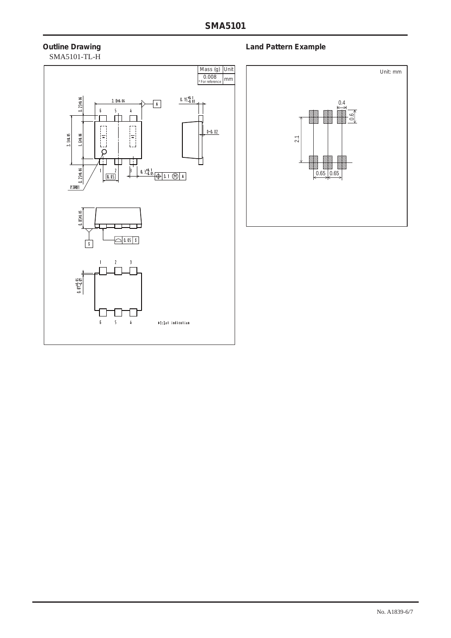# SMA5101-TL-H



# **Outline Drawing Community Community Community Community Community Community Community Community Community Community**